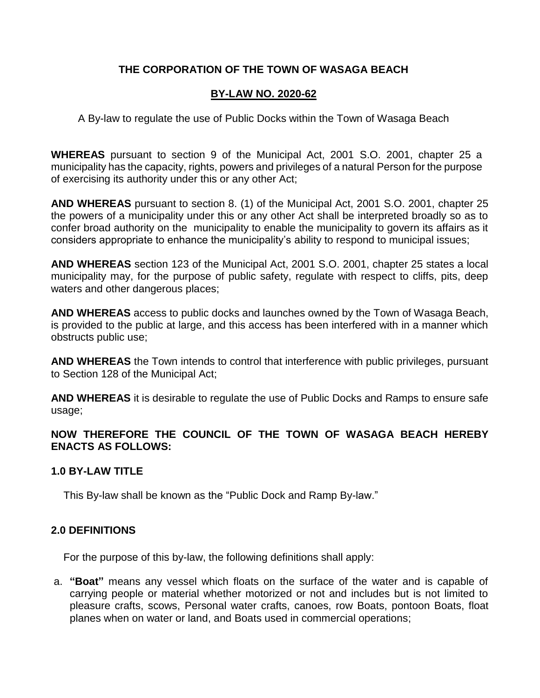## **THE CORPORATION OF THE TOWN OF WASAGA BEACH**

## **BY-LAW NO. 2020-62**

A By-law to regulate the use of Public Docks within the Town of Wasaga Beach

**WHEREAS** pursuant to section 9 of the Municipal Act, 2001 S.O. 2001, chapter 25 a municipality has the capacity, rights, powers and privileges of a natural Person for the purpose of exercising its authority under this or any other Act;

**AND WHEREAS** pursuant to section 8. (1) of the Municipal Act, 2001 S.O. 2001, chapter 25 the powers of a municipality under this or any other Act shall be interpreted broadly so as to confer broad authority on the municipality to enable the municipality to govern its affairs as it considers appropriate to enhance the municipality's ability to respond to municipal issues;

**AND WHEREAS** section 123 of the Municipal Act, 2001 S.O. 2001, chapter 25 states a local municipality may, for the purpose of public safety, regulate with respect to cliffs, pits, deep waters and other dangerous places;

**AND WHEREAS** access to public docks and launches owned by the Town of Wasaga Beach, is provided to the public at large, and this access has been interfered with in a manner which obstructs public use;

**AND WHEREAS** the Town intends to control that interference with public privileges, pursuant to Section 128 of the Municipal Act;

**AND WHEREAS** it is desirable to regulate the use of Public Docks and Ramps to ensure safe usage;

**NOW THEREFORE THE COUNCIL OF THE TOWN OF WASAGA BEACH HEREBY ENACTS AS FOLLOWS:**

#### **1.0 BY-LAW TITLE**

This By-law shall be known as the "Public Dock and Ramp By-law."

## **2.0 DEFINITIONS**

For the purpose of this by-law, the following definitions shall apply:

a. **"Boat"** means any vessel which floats on the surface of the water and is capable of carrying people or material whether motorized or not and includes but is not limited to pleasure crafts, scows, Personal water crafts, canoes, row Boats, pontoon Boats, float planes when on water or land, and Boats used in commercial operations;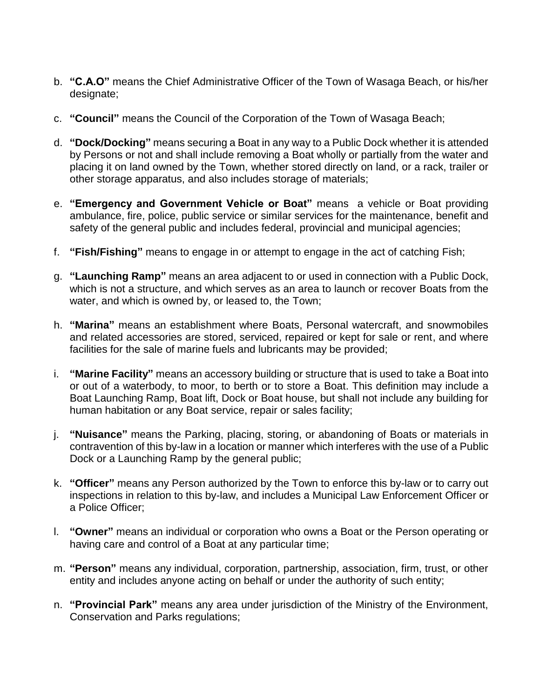- b. **"C.A.O"** means the Chief Administrative Officer of the Town of Wasaga Beach, or his/her designate;
- c. **"Council"** means the Council of the Corporation of the Town of Wasaga Beach;
- d. **"Dock/Docking"** means securing a Boat in any way to a Public Dock whether it is attended by Persons or not and shall include removing a Boat wholly or partially from the water and placing it on land owned by the Town, whether stored directly on land, or a rack, trailer or other storage apparatus, and also includes storage of materials;
- e. **"Emergency and Government Vehicle or Boat"** means a vehicle or Boat providing ambulance, fire, police, public service or similar services for the maintenance, benefit and safety of the general public and includes federal, provincial and municipal agencies;
- f. **"Fish/Fishing"** means to engage in or attempt to engage in the act of catching Fish;
- g. **"Launching Ramp"** means an area adjacent to or used in connection with a Public Dock, which is not a structure, and which serves as an area to launch or recover Boats from the water, and which is owned by, or leased to, the Town;
- h. **"Marina"** means an establishment where Boats, Personal watercraft, and snowmobiles and related accessories are stored, serviced, repaired or kept for sale or rent, and where facilities for the sale of marine fuels and lubricants may be provided;
- i. **"Marine Facility"** means an accessory building or structure that is used to take a Boat into or out of a waterbody, to moor, to berth or to store a Boat. This definition may include a Boat Launching Ramp, Boat lift, Dock or Boat house, but shall not include any building for human habitation or any Boat service, repair or sales facility;
- j. **"Nuisance"** means the Parking, placing, storing, or abandoning of Boats or materials in contravention of this by-law in a location or manner which interferes with the use of a Public Dock or a Launching Ramp by the general public;
- k. **"Officer"** means any Person authorized by the Town to enforce this by-law or to carry out inspections in relation to this by-law, and includes a Municipal Law Enforcement Officer or a Police Officer;
- l. **"Owner"** means an individual or corporation who owns a Boat or the Person operating or having care and control of a Boat at any particular time;
- m. **"Person"** means any individual, corporation, partnership, association, firm, trust, or other entity and includes anyone acting on behalf or under the authority of such entity;
- n. **"Provincial Park"** means any area under jurisdiction of the Ministry of the Environment, Conservation and Parks regulations;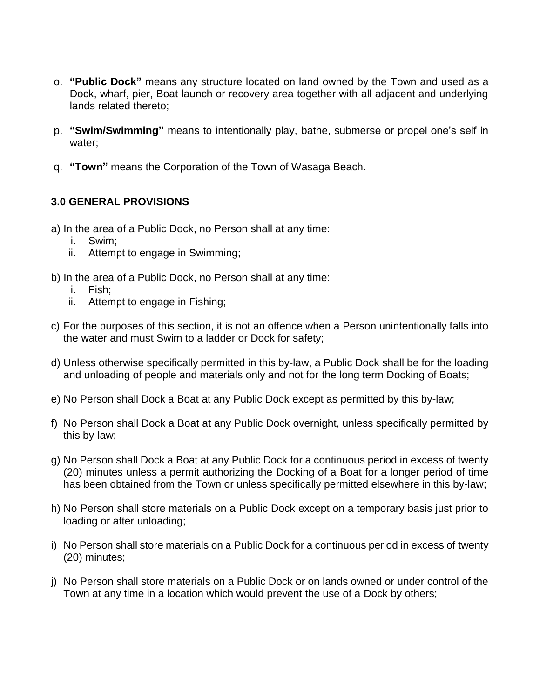- o. **"Public Dock"** means any structure located on land owned by the Town and used as a Dock, wharf, pier, Boat launch or recovery area together with all adjacent and underlying lands related thereto;
- p. **"Swim/Swimming"** means to intentionally play, bathe, submerse or propel one's self in water;
- q. **"Town"** means the Corporation of the Town of Wasaga Beach.

# **3.0 GENERAL PROVISIONS**

- a) In the area of a Public Dock, no Person shall at any time:
	- i. Swim;
	- ii. Attempt to engage in Swimming;
- b) In the area of a Public Dock, no Person shall at any time:
	- i. Fish;
	- ii. Attempt to engage in Fishing;
- c) For the purposes of this section, it is not an offence when a Person unintentionally falls into the water and must Swim to a ladder or Dock for safety;
- d) Unless otherwise specifically permitted in this by-law, a Public Dock shall be for the loading and unloading of people and materials only and not for the long term Docking of Boats;
- e) No Person shall Dock a Boat at any Public Dock except as permitted by this by-law;
- f) No Person shall Dock a Boat at any Public Dock overnight, unless specifically permitted by this by-law;
- g) No Person shall Dock a Boat at any Public Dock for a continuous period in excess of twenty (20) minutes unless a permit authorizing the Docking of a Boat for a longer period of time has been obtained from the Town or unless specifically permitted elsewhere in this by-law;
- h) No Person shall store materials on a Public Dock except on a temporary basis just prior to loading or after unloading;
- i) No Person shall store materials on a Public Dock for a continuous period in excess of twenty (20) minutes;
- j) No Person shall store materials on a Public Dock or on lands owned or under control of the Town at any time in a location which would prevent the use of a Dock by others;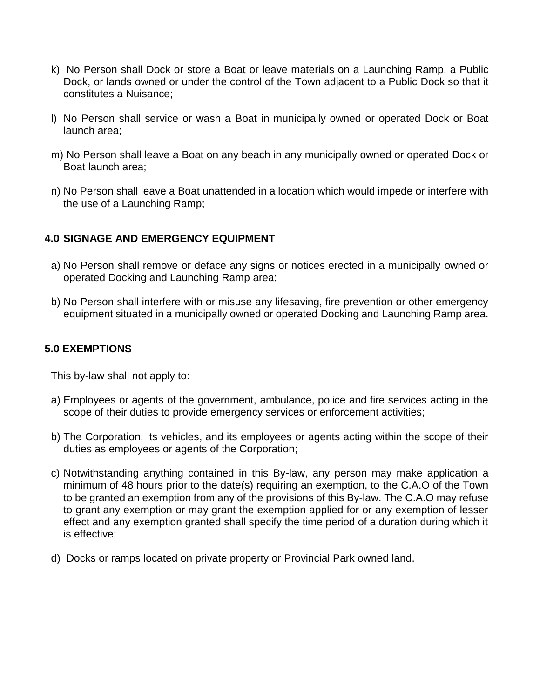- k) No Person shall Dock or store a Boat or leave materials on a Launching Ramp, a Public Dock, or lands owned or under the control of the Town adjacent to a Public Dock so that it constitutes a Nuisance;
- l) No Person shall service or wash a Boat in municipally owned or operated Dock or Boat launch area;
- m) No Person shall leave a Boat on any beach in any municipally owned or operated Dock or Boat launch area;
- n) No Person shall leave a Boat unattended in a location which would impede or interfere with the use of a Launching Ramp;

### **4.0 SIGNAGE AND EMERGENCY EQUIPMENT**

- a) No Person shall remove or deface any signs or notices erected in a municipally owned or operated Docking and Launching Ramp area;
- b) No Person shall interfere with or misuse any lifesaving, fire prevention or other emergency equipment situated in a municipally owned or operated Docking and Launching Ramp area.

### **5.0 EXEMPTIONS**

This by-law shall not apply to:

- a) Employees or agents of the government, ambulance, police and fire services acting in the scope of their duties to provide emergency services or enforcement activities;
- b) The Corporation, its vehicles, and its employees or agents acting within the scope of their duties as employees or agents of the Corporation;
- c) Notwithstanding anything contained in this By-law, any person may make application a minimum of 48 hours prior to the date(s) requiring an exemption, to the C.A.O of the Town to be granted an exemption from any of the provisions of this By-law. The C.A.O may refuse to grant any exemption or may grant the exemption applied for or any exemption of lesser effect and any exemption granted shall specify the time period of a duration during which it is effective;
- d) Docks or ramps located on private property or Provincial Park owned land.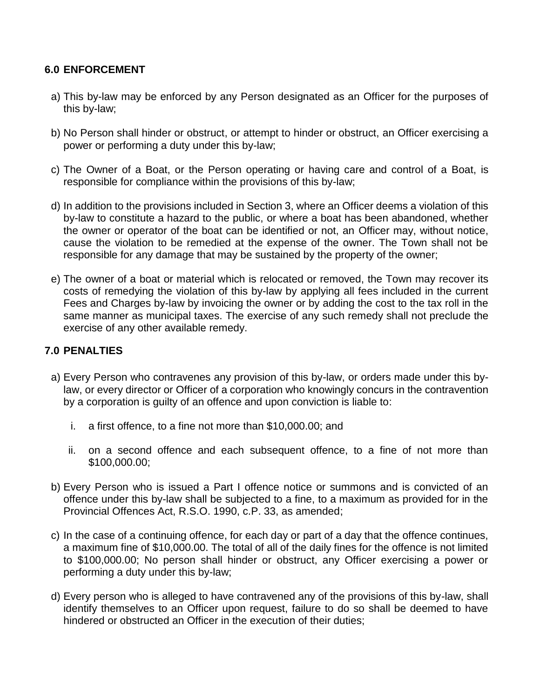### **6.0 ENFORCEMENT**

- a) This by-law may be enforced by any Person designated as an Officer for the purposes of this by-law;
- b) No Person shall hinder or obstruct, or attempt to hinder or obstruct, an Officer exercising a power or performing a duty under this by-law;
- c) The Owner of a Boat, or the Person operating or having care and control of a Boat, is responsible for compliance within the provisions of this by-law;
- d) In addition to the provisions included in Section 3, where an Officer deems a violation of this by-law to constitute a hazard to the public, or where a boat has been abandoned, whether the owner or operator of the boat can be identified or not, an Officer may, without notice, cause the violation to be remedied at the expense of the owner. The Town shall not be responsible for any damage that may be sustained by the property of the owner;
- e) The owner of a boat or material which is relocated or removed, the Town may recover its costs of remedying the violation of this by-law by applying all fees included in the current Fees and Charges by-law by invoicing the owner or by adding the cost to the tax roll in the same manner as municipal taxes. The exercise of any such remedy shall not preclude the exercise of any other available remedy.

## **7.0 PENALTIES**

- a) Every Person who contravenes any provision of this by-law, or orders made under this bylaw, or every director or Officer of a corporation who knowingly concurs in the contravention by a corporation is guilty of an offence and upon conviction is liable to:
	- i. a first offence, to a fine not more than \$10,000.00; and
	- ii. on a second offence and each subsequent offence, to a fine of not more than \$100,000.00;
- b) Every Person who is issued a Part I offence notice or summons and is convicted of an offence under this by-law shall be subjected to a fine, to a maximum as provided for in the Provincial Offences Act, R.S.O. 1990, c.P. 33, as amended;
- c) In the case of a continuing offence, for each day or part of a day that the offence continues, a maximum fine of \$10,000.00. The total of all of the daily fines for the offence is not limited to \$100,000.00; No person shall hinder or obstruct, any Officer exercising a power or performing a duty under this by-law;
- d) Every person who is alleged to have contravened any of the provisions of this by-law, shall identify themselves to an Officer upon request, failure to do so shall be deemed to have hindered or obstructed an Officer in the execution of their duties;